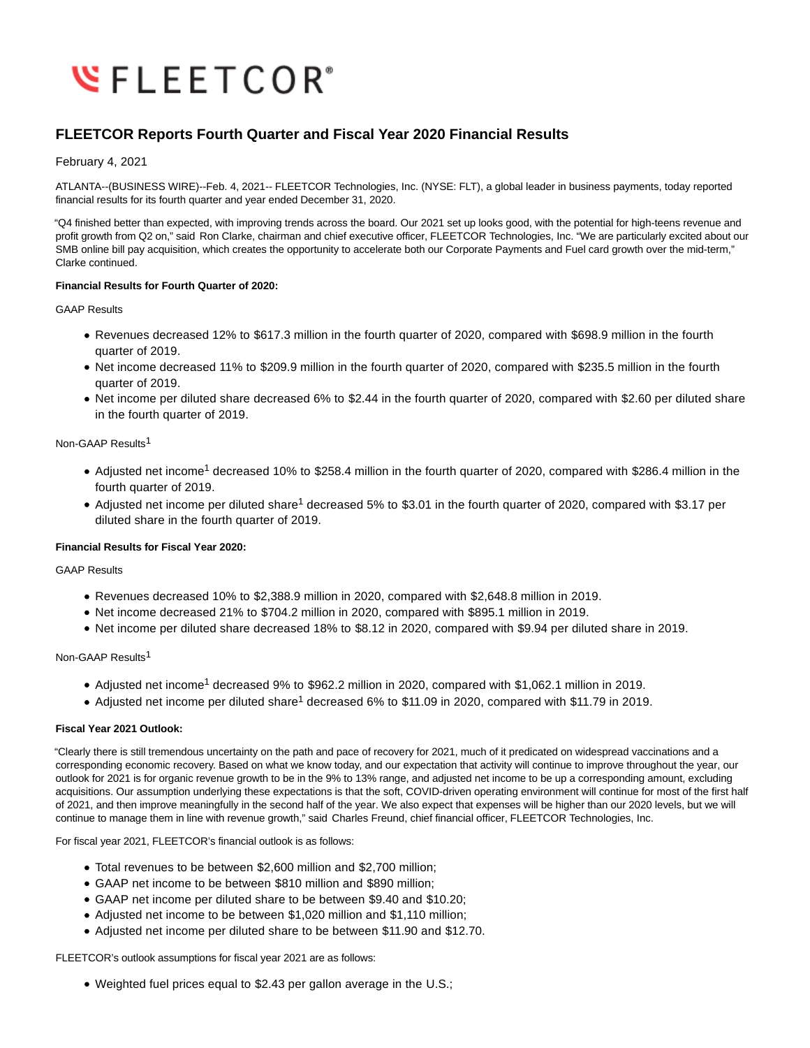# **WFLEETCOR**<sup>\*</sup>

# **FLEETCOR Reports Fourth Quarter and Fiscal Year 2020 Financial Results**

# February 4, 2021

ATLANTA--(BUSINESS WIRE)--Feb. 4, 2021-- FLEETCOR Technologies, Inc. (NYSE: FLT), a global leader in business payments, today reported financial results for its fourth quarter and year ended December 31, 2020.

"Q4 finished better than expected, with improving trends across the board. Our 2021 set up looks good, with the potential for high-teens revenue and profit growth from Q2 on," said Ron Clarke, chairman and chief executive officer, FLEETCOR Technologies, Inc. "We are particularly excited about our SMB online bill pay acquisition, which creates the opportunity to accelerate both our Corporate Payments and Fuel card growth over the mid-term," Clarke continued.

# **Financial Results for Fourth Quarter of 2020:**

GAAP Results

- Revenues decreased 12% to \$617.3 million in the fourth quarter of 2020, compared with \$698.9 million in the fourth quarter of 2019.
- Net income decreased 11% to \$209.9 million in the fourth quarter of 2020, compared with \$235.5 million in the fourth quarter of 2019.
- Net income per diluted share decreased 6% to \$2.44 in the fourth quarter of 2020, compared with \$2.60 per diluted share in the fourth quarter of 2019.

### Non-GAAP Results<sup>1</sup>

- Adjusted net income<sup>1</sup> decreased 10% to \$258.4 million in the fourth quarter of 2020, compared with \$286.4 million in the fourth quarter of 2019.
- Adjusted net income per diluted share<sup>1</sup> decreased 5% to \$3.01 in the fourth quarter of 2020, compared with \$3.17 per diluted share in the fourth quarter of 2019.

# **Financial Results for Fiscal Year 2020:**

GAAP Results

- Revenues decreased 10% to \$2,388.9 million in 2020, compared with \$2,648.8 million in 2019.
- Net income decreased 21% to \$704.2 million in 2020, compared with \$895.1 million in 2019.
- Net income per diluted share decreased 18% to \$8.12 in 2020, compared with \$9.94 per diluted share in 2019.

Non-GAAP Results<sup>1</sup>

- Adjusted net income<sup>1</sup> decreased 9% to \$962.2 million in 2020, compared with \$1,062.1 million in 2019.
- Adjusted net income per diluted share<sup>1</sup> decreased 6% to \$11.09 in 2020, compared with \$11.79 in 2019.

#### **Fiscal Year 2021 Outlook:**

"Clearly there is still tremendous uncertainty on the path and pace of recovery for 2021, much of it predicated on widespread vaccinations and a corresponding economic recovery. Based on what we know today, and our expectation that activity will continue to improve throughout the year, our outlook for 2021 is for organic revenue growth to be in the 9% to 13% range, and adjusted net income to be up a corresponding amount, excluding acquisitions. Our assumption underlying these expectations is that the soft, COVID-driven operating environment will continue for most of the first half of 2021, and then improve meaningfully in the second half of the year. We also expect that expenses will be higher than our 2020 levels, but we will continue to manage them in line with revenue growth," said Charles Freund, chief financial officer, FLEETCOR Technologies, Inc.

For fiscal year 2021, FLEETCOR's financial outlook is as follows:

- Total revenues to be between \$2,600 million and \$2,700 million;
- GAAP net income to be between \$810 million and \$890 million;
- GAAP net income per diluted share to be between \$9.40 and \$10.20;
- Adjusted net income to be between \$1,020 million and \$1,110 million;
- Adjusted net income per diluted share to be between \$11.90 and \$12.70.

FLEETCOR's outlook assumptions for fiscal year 2021 are as follows:

Weighted fuel prices equal to \$2.43 per gallon average in the U.S.;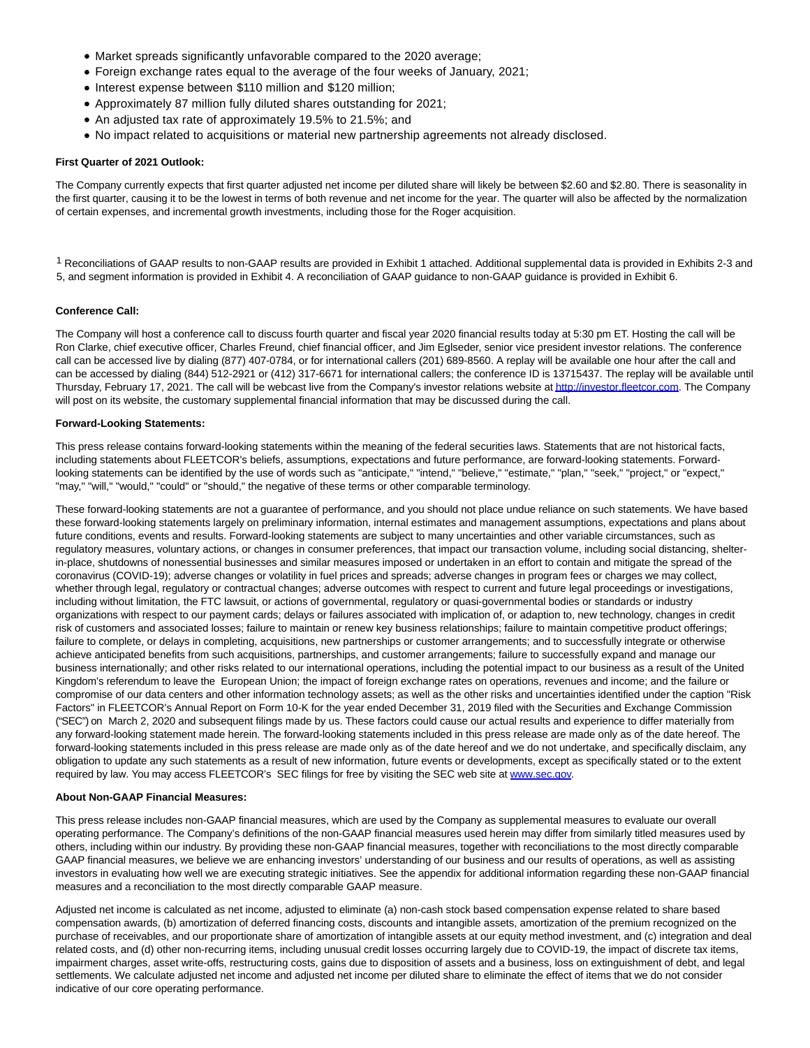- Market spreads significantly unfavorable compared to the 2020 average;
- Foreign exchange rates equal to the average of the four weeks of January, 2021;
- Interest expense between \$110 million and \$120 million;
- Approximately 87 million fully diluted shares outstanding for 2021;
- An adjusted tax rate of approximately 19.5% to 21.5%; and
- No impact related to acquisitions or material new partnership agreements not already disclosed.

#### **First Quarter of 2021 Outlook:**

The Company currently expects that first quarter adjusted net income per diluted share will likely be between \$2.60 and \$2.80. There is seasonality in the first quarter, causing it to be the lowest in terms of both revenue and net income for the year. The quarter will also be affected by the normalization of certain expenses, and incremental growth investments, including those for the Roger acquisition.

 $1$  Reconciliations of GAAP results to non-GAAP results are provided in Exhibit 1 attached. Additional supplemental data is provided in Exhibits 2-3 and 5, and segment information is provided in Exhibit 4. A reconciliation of GAAP guidance to non-GAAP guidance is provided in Exhibit 6.

#### **Conference Call:**

The Company will host a conference call to discuss fourth quarter and fiscal year 2020 financial results today at 5:30 pm ET. Hosting the call will be Ron Clarke, chief executive officer, Charles Freund, chief financial officer, and Jim Eglseder, senior vice president investor relations. The conference call can be accessed live by dialing (877) 407-0784, or for international callers (201) 689-8560. A replay will be available one hour after the call and can be accessed by dialing (844) 512-2921 or (412) 317-6671 for international callers; the conference ID is 13715437. The replay will be available until Thursday, February 17, 2021. The call will be webcast live from the Company's investor relations website a[t http://investor.fleetcor.com.](https://cts.businesswire.com/ct/CT?id=smartlink&url=http%3A%2F%2Finvestor.fleetcor.com&esheet=52374223&newsitemid=20210204006088&lan=en-US&anchor=http%3A%2F%2Finvestor.fleetcor.com&index=1&md5=78272365e16c74214f71fe797f4c9e9d) The Company will post on its website, the customary supplemental financial information that may be discussed during the call.

#### **Forward-Looking Statements:**

This press release contains forward-looking statements within the meaning of the federal securities laws. Statements that are not historical facts, including statements about FLEETCOR's beliefs, assumptions, expectations and future performance, are forward-looking statements. Forwardlooking statements can be identified by the use of words such as "anticipate," "intend," "believe," "estimate," "plan," "seek," "project," or "expect," "may," "will," "would," "could" or "should," the negative of these terms or other comparable terminology.

These forward-looking statements are not a guarantee of performance, and you should not place undue reliance on such statements. We have based these forward-looking statements largely on preliminary information, internal estimates and management assumptions, expectations and plans about future conditions, events and results. Forward-looking statements are subject to many uncertainties and other variable circumstances, such as regulatory measures, voluntary actions, or changes in consumer preferences, that impact our transaction volume, including social distancing, shelterin-place, shutdowns of nonessential businesses and similar measures imposed or undertaken in an effort to contain and mitigate the spread of the coronavirus (COVID-19); adverse changes or volatility in fuel prices and spreads; adverse changes in program fees or charges we may collect, whether through legal, regulatory or contractual changes; adverse outcomes with respect to current and future legal proceedings or investigations, including without limitation, the FTC lawsuit, or actions of governmental, regulatory or quasi-governmental bodies or standards or industry organizations with respect to our payment cards; delays or failures associated with implication of, or adaption to, new technology, changes in credit risk of customers and associated losses; failure to maintain or renew key business relationships; failure to maintain competitive product offerings; failure to complete, or delays in completing, acquisitions, new partnerships or customer arrangements; and to successfully integrate or otherwise achieve anticipated benefits from such acquisitions, partnerships, and customer arrangements; failure to successfully expand and manage our business internationally; and other risks related to our international operations, including the potential impact to our business as a result of the United Kingdom's referendum to leave the European Union; the impact of foreign exchange rates on operations, revenues and income; and the failure or compromise of our data centers and other information technology assets; as well as the other risks and uncertainties identified under the caption "Risk Factors" in FLEETCOR's Annual Report on Form 10-K for the year ended December 31, 2019 filed with the Securities and Exchange Commission ("SEC") on March 2, 2020 and subsequent filings made by us. These factors could cause our actual results and experience to differ materially from any forward-looking statement made herein. The forward-looking statements included in this press release are made only as of the date hereof. The forward-looking statements included in this press release are made only as of the date hereof and we do not undertake, and specifically disclaim, any obligation to update any such statements as a result of new information, future events or developments, except as specifically stated or to the extent required by law. You may access FLEETCOR's SEC filings for free by visiting the SEC web site at [www.sec.gov.](https://cts.businesswire.com/ct/CT?id=smartlink&url=http%3A%2F%2Fwww.sec.gov&esheet=52374223&newsitemid=20210204006088&lan=en-US&anchor=www.sec.gov&index=2&md5=4f7229c91c9b53d43955437c592a3a4a)

#### **About Non-GAAP Financial Measures:**

This press release includes non-GAAP financial measures, which are used by the Company as supplemental measures to evaluate our overall operating performance. The Company's definitions of the non-GAAP financial measures used herein may differ from similarly titled measures used by others, including within our industry. By providing these non-GAAP financial measures, together with reconciliations to the most directly comparable GAAP financial measures, we believe we are enhancing investors' understanding of our business and our results of operations, as well as assisting investors in evaluating how well we are executing strategic initiatives. See the appendix for additional information regarding these non-GAAP financial measures and a reconciliation to the most directly comparable GAAP measure.

Adjusted net income is calculated as net income, adjusted to eliminate (a) non-cash stock based compensation expense related to share based compensation awards, (b) amortization of deferred financing costs, discounts and intangible assets, amortization of the premium recognized on the purchase of receivables, and our proportionate share of amortization of intangible assets at our equity method investment, and (c) integration and deal related costs, and (d) other non-recurring items, including unusual credit losses occurring largely due to COVID-19, the impact of discrete tax items, impairment charges, asset write-offs, restructuring costs, gains due to disposition of assets and a business, loss on extinguishment of debt, and legal settlements. We calculate adjusted net income and adjusted net income per diluted share to eliminate the effect of items that we do not consider indicative of our core operating performance.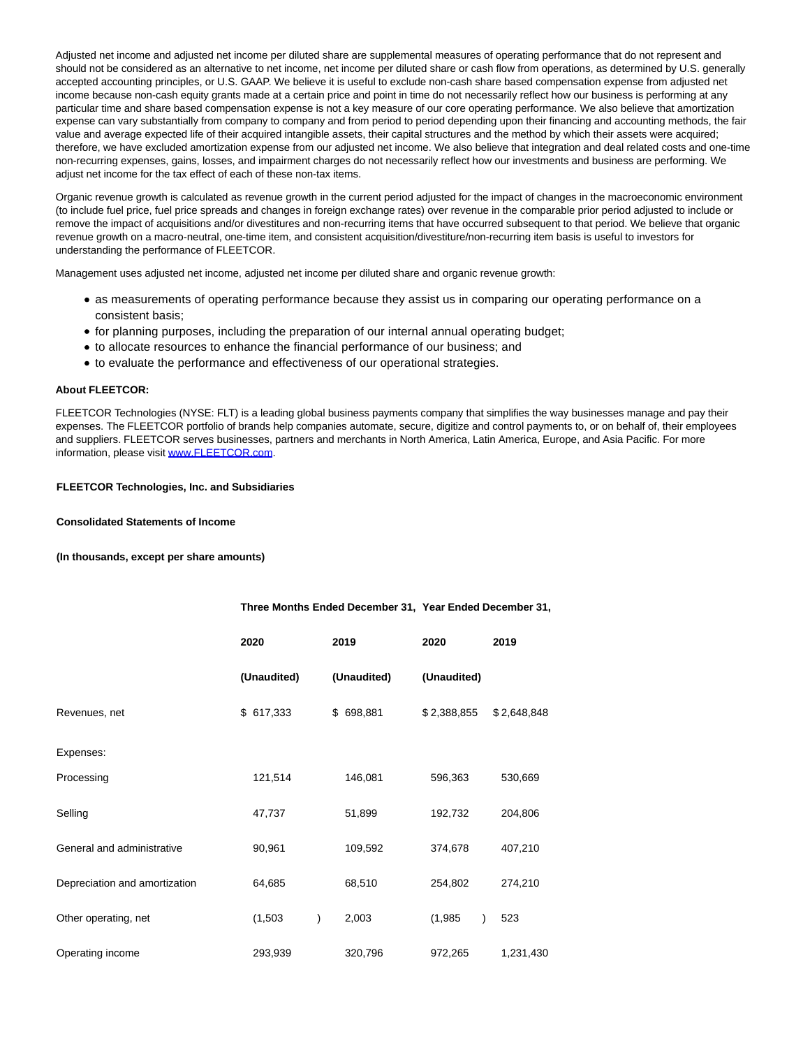Adjusted net income and adjusted net income per diluted share are supplemental measures of operating performance that do not represent and should not be considered as an alternative to net income, net income per diluted share or cash flow from operations, as determined by U.S. generally accepted accounting principles, or U.S. GAAP. We believe it is useful to exclude non-cash share based compensation expense from adjusted net income because non-cash equity grants made at a certain price and point in time do not necessarily reflect how our business is performing at any particular time and share based compensation expense is not a key measure of our core operating performance. We also believe that amortization expense can vary substantially from company to company and from period to period depending upon their financing and accounting methods, the fair value and average expected life of their acquired intangible assets, their capital structures and the method by which their assets were acquired; therefore, we have excluded amortization expense from our adjusted net income. We also believe that integration and deal related costs and one-time non-recurring expenses, gains, losses, and impairment charges do not necessarily reflect how our investments and business are performing. We adjust net income for the tax effect of each of these non-tax items.

Organic revenue growth is calculated as revenue growth in the current period adjusted for the impact of changes in the macroeconomic environment (to include fuel price, fuel price spreads and changes in foreign exchange rates) over revenue in the comparable prior period adjusted to include or remove the impact of acquisitions and/or divestitures and non-recurring items that have occurred subsequent to that period. We believe that organic revenue growth on a macro-neutral, one-time item, and consistent acquisition/divestiture/non-recurring item basis is useful to investors for understanding the performance of FLEETCOR.

Management uses adjusted net income, adjusted net income per diluted share and organic revenue growth:

- as measurements of operating performance because they assist us in comparing our operating performance on a consistent basis;
- for planning purposes, including the preparation of our internal annual operating budget;
- to allocate resources to enhance the financial performance of our business; and
- to evaluate the performance and effectiveness of our operational strategies.

#### **About FLEETCOR:**

FLEETCOR Technologies (NYSE: FLT) is a leading global business payments company that simplifies the way businesses manage and pay their expenses. The FLEETCOR portfolio of brands help companies automate, secure, digitize and control payments to, or on behalf of, their employees and suppliers. FLEETCOR serves businesses, partners and merchants in North America, Latin America, Europe, and Asia Pacific. For more information, please visi[t www.FLEETCOR.com.](https://cts.businesswire.com/ct/CT?id=smartlink&url=http%3A%2F%2Fwww.FLEETCOR.com&esheet=52374223&newsitemid=20210204006088&lan=en-US&anchor=www.FLEETCOR.com&index=3&md5=02edac95fb9dda60c14ee8df1352bbe5)

#### **FLEETCOR Technologies, Inc. and Subsidiaries**

#### **Consolidated Statements of Income**

**(In thousands, except per share amounts)**

#### **Three Months Ended December 31, Year Ended December 31,**

|                               | 2020        | 2019                   | 2020        | 2019        |
|-------------------------------|-------------|------------------------|-------------|-------------|
|                               | (Unaudited) | (Unaudited)            | (Unaudited) |             |
| Revenues, net                 | \$617,333   | \$698,881              | \$2,388,855 | \$2,648,848 |
| Expenses:                     |             |                        |             |             |
| Processing                    | 121,514     | 146,081                | 596,363     | 530,669     |
| Selling                       | 47,737      | 51,899                 | 192,732     | 204,806     |
| General and administrative    | 90,961      | 109,592                | 374,678     | 407,210     |
| Depreciation and amortization | 64,685      | 68,510                 | 254,802     | 274,210     |
| Other operating, net          | (1,503)     | 2,003<br>$\mathcal{E}$ | (1,985)     | 523         |
| Operating income              | 293,939     | 320,796                | 972,265     | 1,231,430   |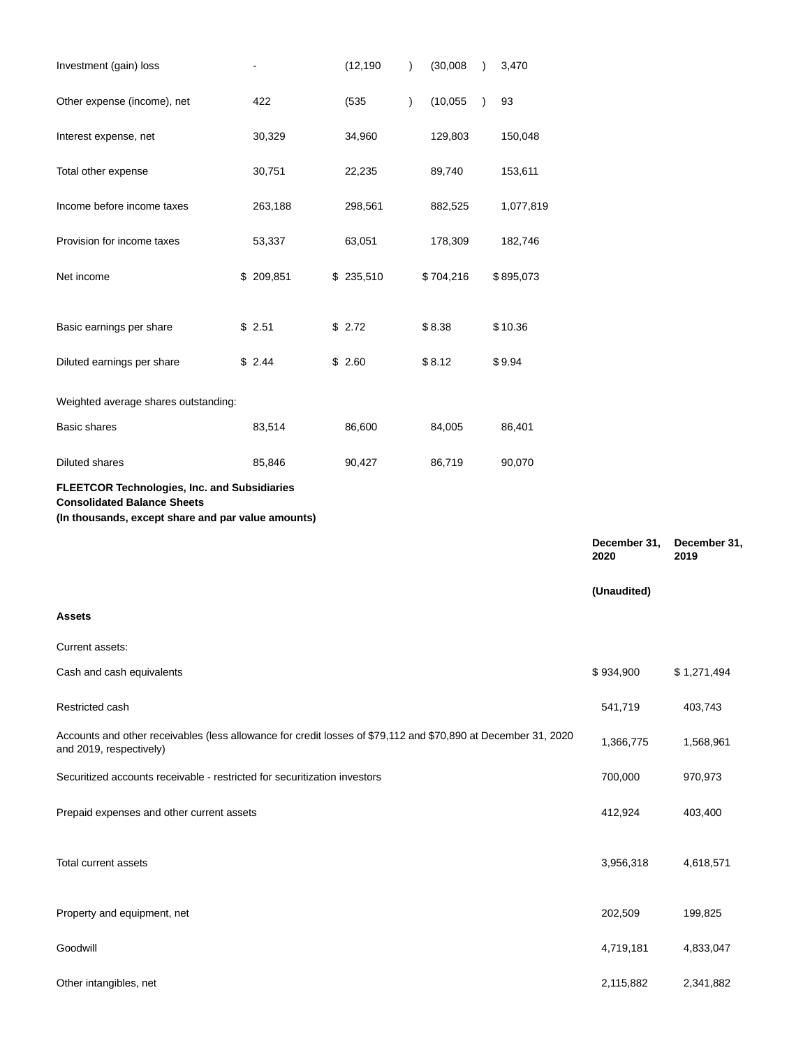| Investment (gain) loss                                                                                                                    |            | (12, 190) | (30,008)<br>$\lambda$ | 3,470     |                      |                      |
|-------------------------------------------------------------------------------------------------------------------------------------------|------------|-----------|-----------------------|-----------|----------------------|----------------------|
| Other expense (income), net                                                                                                               | 422        | (535)     | (10,055)<br>$\lambda$ | 93        |                      |                      |
| Interest expense, net                                                                                                                     | 30,329     | 34,960    | 129,803               | 150,048   |                      |                      |
| Total other expense                                                                                                                       | 30,751     | 22,235    | 89,740                | 153,611   |                      |                      |
| Income before income taxes                                                                                                                | 263,188    | 298,561   | 882,525               | 1,077,819 |                      |                      |
| Provision for income taxes                                                                                                                | 53,337     | 63,051    | 178,309               | 182,746   |                      |                      |
| Net income                                                                                                                                | \$ 209,851 | \$235,510 | \$704,216             | \$895,073 |                      |                      |
| Basic earnings per share                                                                                                                  | \$2.51     | \$2.72    | \$8.38                | \$10.36   |                      |                      |
| Diluted earnings per share                                                                                                                | \$2.44     | \$2.60    | \$8.12                | \$9.94    |                      |                      |
| Weighted average shares outstanding:                                                                                                      |            |           |                       |           |                      |                      |
| Basic shares                                                                                                                              | 83,514     | 86,600    | 84,005                | 86,401    |                      |                      |
| Diluted shares                                                                                                                            | 85,846     | 90,427    | 86,719                | 90,070    |                      |                      |
| <b>FLEETCOR Technologies, Inc. and Subsidiaries</b><br><b>Consolidated Balance Sheets</b>                                                 |            |           |                       |           |                      |                      |
| (In thousands, except share and par value amounts)                                                                                        |            |           |                       |           | December 31,<br>2020 | December 31,<br>2019 |
|                                                                                                                                           |            |           |                       |           | (Unaudited)          |                      |
| Assets                                                                                                                                    |            |           |                       |           |                      |                      |
| Current assets:                                                                                                                           |            |           |                       |           |                      |                      |
| Cash and cash equivalents                                                                                                                 |            |           |                       |           | \$934,900            | \$1,271,494          |
| Restricted cash                                                                                                                           |            |           |                       |           | 541,719              | 403,743              |
| Accounts and other receivables (less allowance for credit losses of \$79,112 and \$70,890 at December 31, 2020<br>and 2019, respectively) |            |           |                       |           | 1,366,775            | 1,568,961            |
| Securitized accounts receivable - restricted for securitization investors                                                                 |            |           |                       |           | 700,000              | 970,973              |
| Prepaid expenses and other current assets                                                                                                 |            |           |                       |           | 412,924              | 403,400              |
| Total current assets                                                                                                                      |            |           |                       |           | 3,956,318            | 4,618,571            |
| Property and equipment, net                                                                                                               |            |           |                       |           | 202,509              | 199,825              |
| Goodwill                                                                                                                                  |            |           |                       |           | 4,719,181            | 4,833,047            |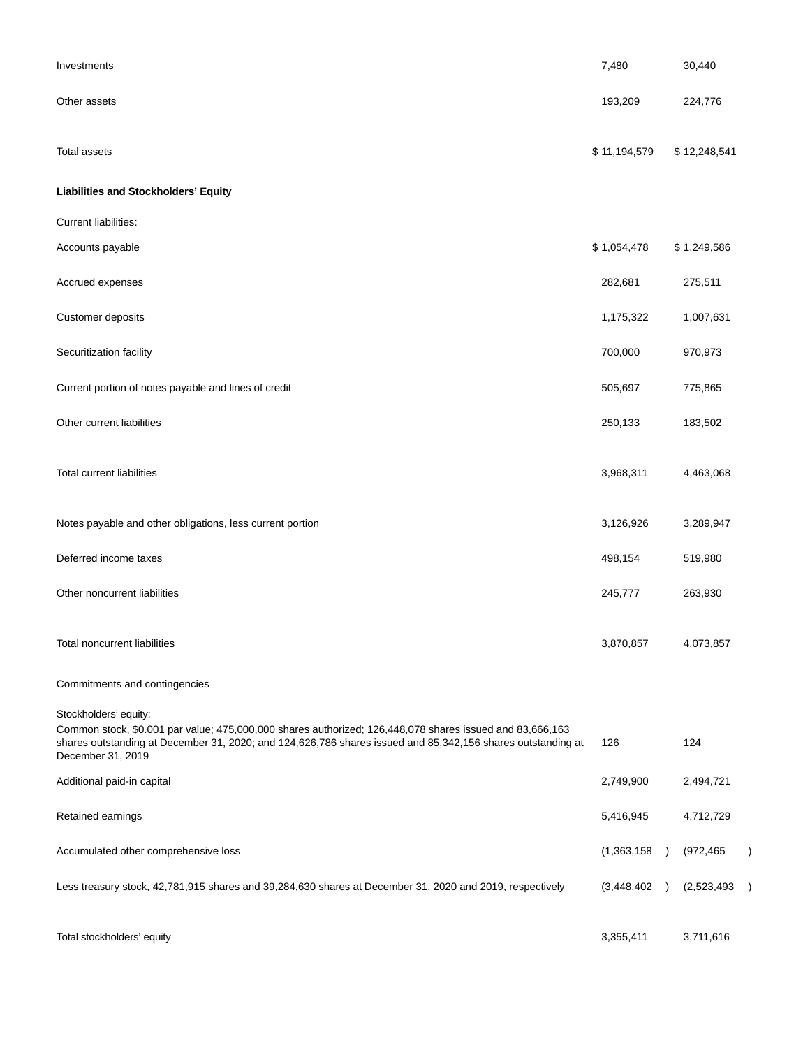| Investments                                                                                                                                                                                                                                                           | 7,480        |               | 30,440       |  |
|-----------------------------------------------------------------------------------------------------------------------------------------------------------------------------------------------------------------------------------------------------------------------|--------------|---------------|--------------|--|
| Other assets                                                                                                                                                                                                                                                          | 193,209      |               | 224,776      |  |
| <b>Total assets</b>                                                                                                                                                                                                                                                   | \$11,194,579 |               | \$12,248,541 |  |
| <b>Liabilities and Stockholders' Equity</b>                                                                                                                                                                                                                           |              |               |              |  |
| Current liabilities:                                                                                                                                                                                                                                                  |              |               |              |  |
| Accounts payable                                                                                                                                                                                                                                                      | \$1,054,478  |               | \$1,249,586  |  |
| Accrued expenses                                                                                                                                                                                                                                                      | 282,681      |               | 275,511      |  |
| Customer deposits                                                                                                                                                                                                                                                     | 1,175,322    |               | 1,007,631    |  |
| Securitization facility                                                                                                                                                                                                                                               | 700,000      |               | 970,973      |  |
| Current portion of notes payable and lines of credit                                                                                                                                                                                                                  | 505,697      |               | 775,865      |  |
| Other current liabilities                                                                                                                                                                                                                                             | 250,133      |               | 183,502      |  |
| <b>Total current liabilities</b>                                                                                                                                                                                                                                      | 3,968,311    |               | 4,463,068    |  |
| Notes payable and other obligations, less current portion                                                                                                                                                                                                             | 3,126,926    |               | 3,289,947    |  |
| Deferred income taxes                                                                                                                                                                                                                                                 | 498,154      |               | 519,980      |  |
| Other noncurrent liabilities                                                                                                                                                                                                                                          | 245,777      |               | 263,930      |  |
| Total noncurrent liabilities                                                                                                                                                                                                                                          | 3,870,857    |               | 4,073,857    |  |
| Commitments and contingencies                                                                                                                                                                                                                                         |              |               |              |  |
| Stockholders' equity:<br>Common stock, \$0.001 par value; 475,000,000 shares authorized; 126,448,078 shares issued and 83,666,163<br>shares outstanding at December 31, 2020; and 124,626,786 shares issued and 85,342,156 shares outstanding at<br>December 31, 2019 | 126          |               | 124          |  |
| Additional paid-in capital                                                                                                                                                                                                                                            | 2,749,900    |               | 2,494,721    |  |
| Retained earnings                                                                                                                                                                                                                                                     | 5,416,945    |               | 4,712,729    |  |
| Accumulated other comprehensive loss                                                                                                                                                                                                                                  | (1,363,158)  | $\rightarrow$ | (972, 465)   |  |
| Less treasury stock, 42,781,915 shares and 39,284,630 shares at December 31, 2020 and 2019, respectively                                                                                                                                                              | (3,448,402)  | $\lambda$     | (2,523,493)  |  |
| Total stockholders' equity                                                                                                                                                                                                                                            | 3,355,411    |               | 3,711,616    |  |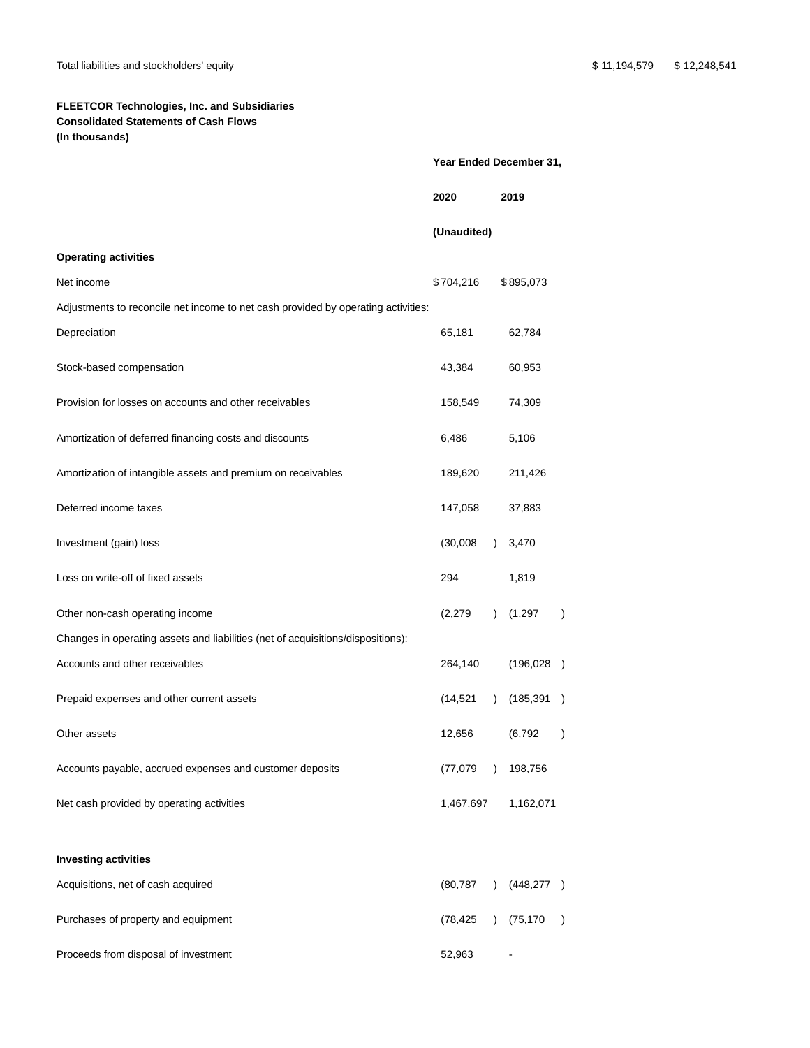# **FLEETCOR Technologies, Inc. and Subsidiaries Consolidated Statements of Cash Flows**

**(In thousands)**

|                                                                                   | Year Ended December 31, |           |            |               |
|-----------------------------------------------------------------------------------|-------------------------|-----------|------------|---------------|
|                                                                                   | 2020                    |           | 2019       |               |
|                                                                                   | (Unaudited)             |           |            |               |
| <b>Operating activities</b>                                                       |                         |           |            |               |
| Net income                                                                        | \$704,216               |           | \$895,073  |               |
| Adjustments to reconcile net income to net cash provided by operating activities: |                         |           |            |               |
| Depreciation                                                                      | 65,181                  |           | 62,784     |               |
| Stock-based compensation                                                          | 43,384                  |           | 60,953     |               |
| Provision for losses on accounts and other receivables                            | 158,549                 |           | 74,309     |               |
| Amortization of deferred financing costs and discounts                            | 6,486                   |           | 5,106      |               |
| Amortization of intangible assets and premium on receivables                      | 189,620                 |           | 211,426    |               |
| Deferred income taxes                                                             | 147,058                 |           | 37,883     |               |
| Investment (gain) loss                                                            | (30,008)                | $\lambda$ | 3,470      |               |
| Loss on write-off of fixed assets                                                 | 294                     |           | 1,819      |               |
| Other non-cash operating income                                                   | (2,279)                 | $\lambda$ | (1, 297)   | $\mathcal{E}$ |
| Changes in operating assets and liabilities (net of acquisitions/dispositions):   |                         |           |            |               |
| Accounts and other receivables                                                    | 264,140                 |           | (196, 028) |               |
| Prepaid expenses and other current assets                                         | (14, 521)               | $\lambda$ | (185, 391) | $\lambda$     |
| Other assets                                                                      | 12,656                  |           | (6, 792)   | $\mathcal{E}$ |
| Accounts payable, accrued expenses and customer deposits                          | (77,079                 | $\lambda$ | 198,756    |               |
| Net cash provided by operating activities                                         | 1,467,697               |           | 1,162,071  |               |
| <b>Investing activities</b>                                                       |                         |           |            |               |
| Acquisitions, net of cash acquired                                                | (80, 787)               | $\lambda$ | (448,277   |               |
| Purchases of property and equipment                                               | (78, 425)               | $\lambda$ | (75, 170)  |               |
| Proceeds from disposal of investment                                              | 52,963                  |           |            |               |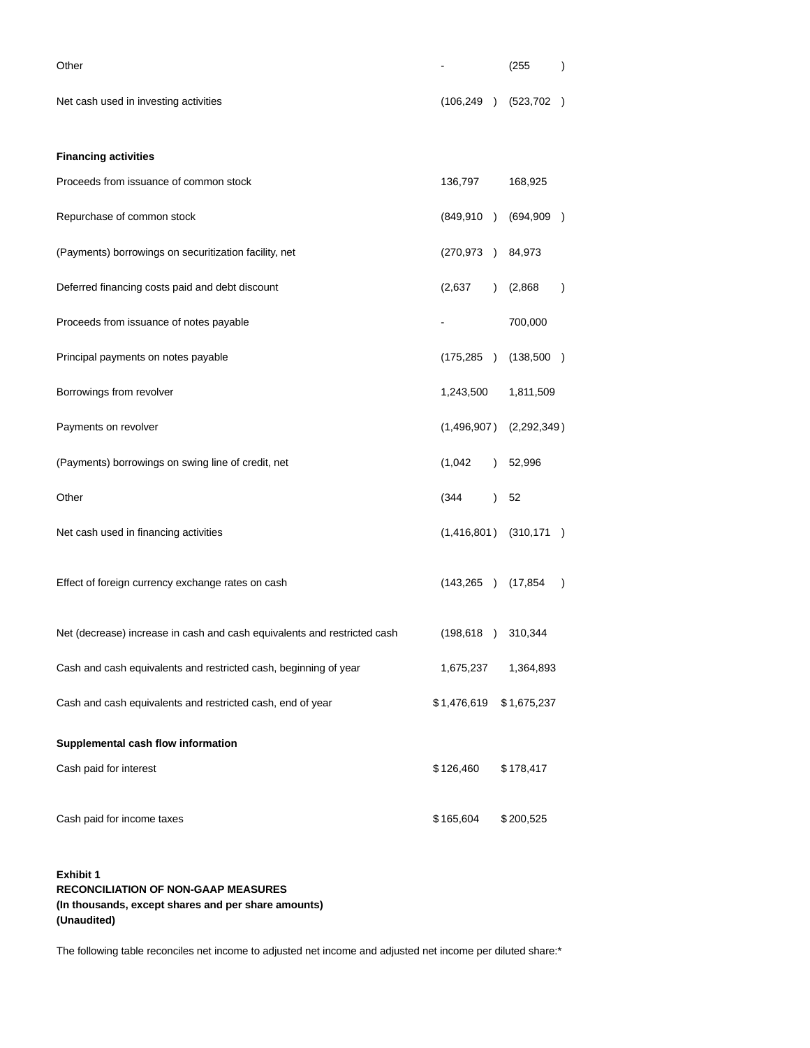| Other                                                                    |                           | (255)<br>$\mathcal{E}$      |
|--------------------------------------------------------------------------|---------------------------|-----------------------------|
| Net cash used in investing activities                                    | $(106, 249)$ $(523, 702)$ | $\rightarrow$               |
| <b>Financing activities</b>                                              |                           |                             |
| Proceeds from issuance of common stock                                   | 136,797                   | 168,925                     |
| Repurchase of common stock                                               | (849, 910)                | (694, 909)                  |
| (Payments) borrowings on securitization facility, net                    | (270, 973)                | 84,973                      |
| Deferred financing costs paid and debt discount                          | (2,637)<br>$\lambda$      | (2,868)<br>$\lambda$        |
| Proceeds from issuance of notes payable                                  |                           | 700,000                     |
| Principal payments on notes payable                                      | (175, 285)                | (138, 500)<br>$\rightarrow$ |
| Borrowings from revolver                                                 | 1,243,500                 | 1,811,509                   |
| Payments on revolver                                                     | (1,496,907)               | (2,292,349)                 |
| (Payments) borrowings on swing line of credit, net                       | (1,042)<br>$\lambda$      | 52,996                      |
| Other                                                                    | (344<br>$\mathcal{L}$     | 52                          |
| Net cash used in financing activities                                    | $(1,416,801)$ $(310,171)$ | $\rightarrow$               |
| Effect of foreign currency exchange rates on cash                        | $(143, 265)$ $(17, 854)$  | $\lambda$                   |
| Net (decrease) increase in cash and cash equivalents and restricted cash | (198, 618)                | 310,344                     |
| Cash and cash equivalents and restricted cash, beginning of year         | 1,675,237                 | 1,364,893                   |
| Cash and cash equivalents and restricted cash, end of year               | \$1,476,619               | \$1,675,237                 |
| Supplemental cash flow information                                       |                           |                             |
| Cash paid for interest                                                   | \$126,460                 | \$178,417                   |
| Cash paid for income taxes                                               | \$165,604                 | \$200,525                   |

# **Exhibit 1 RECONCILIATION OF NON-GAAP MEASURES (In thousands, except shares and per share amounts) (Unaudited)**

The following table reconciles net income to adjusted net income and adjusted net income per diluted share:\*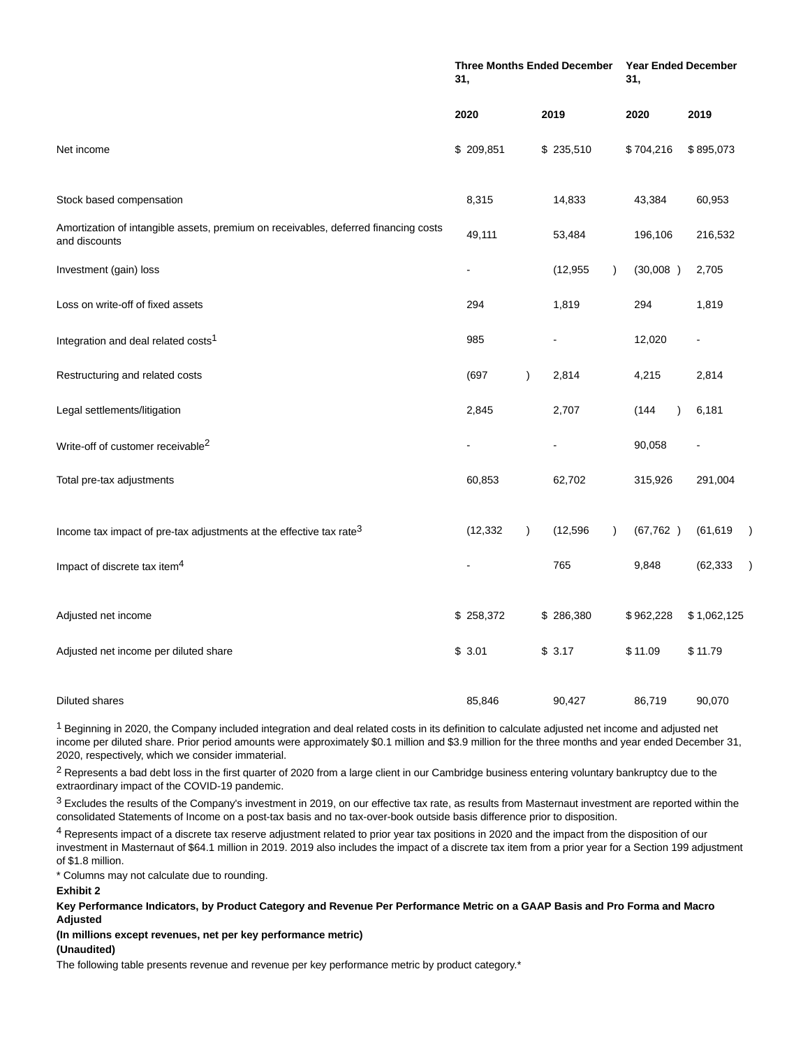|                                                                                                      | 31, |           |           | <b>Three Months Ended December</b> |           | <b>Year Ended December</b><br>31, |  |             |  |
|------------------------------------------------------------------------------------------------------|-----|-----------|-----------|------------------------------------|-----------|-----------------------------------|--|-------------|--|
|                                                                                                      |     | 2020      |           | 2019                               |           | 2020                              |  | 2019        |  |
| Net income                                                                                           |     | \$209,851 |           | \$235,510                          |           | \$704,216                         |  | \$895,073   |  |
| Stock based compensation                                                                             |     | 8,315     |           | 14,833                             |           | 43,384                            |  | 60,953      |  |
| Amortization of intangible assets, premium on receivables, deferred financing costs<br>and discounts |     | 49,111    |           | 53,484                             |           | 196,106                           |  | 216,532     |  |
| Investment (gain) loss                                                                               |     |           |           | (12, 955)                          | $\lambda$ | (30,008)                          |  | 2,705       |  |
| Loss on write-off of fixed assets                                                                    |     | 294       |           | 1,819                              |           | 294                               |  | 1,819       |  |
| Integration and deal related costs <sup>1</sup>                                                      |     | 985       |           |                                    |           | 12,020                            |  |             |  |
| Restructuring and related costs                                                                      |     | (697)     | $\lambda$ | 2,814                              |           | 4,215                             |  | 2,814       |  |
| Legal settlements/litigation                                                                         |     | 2,845     |           | 2,707                              |           | (144)                             |  | 6,181       |  |
| Write-off of customer receivable <sup>2</sup>                                                        |     |           |           |                                    |           | 90,058                            |  |             |  |
| Total pre-tax adjustments                                                                            |     | 60,853    |           | 62,702                             |           | 315,926                           |  | 291,004     |  |
| Income tax impact of pre-tax adjustments at the effective tax rate <sup>3</sup>                      |     | (12, 332) | $\lambda$ | (12, 596)                          |           | (67, 762)                         |  | (61, 619)   |  |
| Impact of discrete tax item <sup>4</sup>                                                             |     |           |           | 765                                |           | 9,848                             |  | (62, 333)   |  |
| Adjusted net income                                                                                  |     | \$258,372 |           | \$286,380                          |           | \$962,228                         |  | \$1,062,125 |  |
| Adjusted net income per diluted share                                                                |     | \$3.01    |           | \$3.17                             |           | \$11.09                           |  | \$11.79     |  |
| <b>Diluted shares</b>                                                                                |     | 85,846    |           | 90,427                             |           | 86,719                            |  | 90,070      |  |

<sup>1</sup> Beginning in 2020, the Company included integration and deal related costs in its definition to calculate adjusted net income and adjusted net income per diluted share. Prior period amounts were approximately \$0.1 million and \$3.9 million for the three months and year ended December 31, 2020, respectively, which we consider immaterial.

 $2$  Represents a bad debt loss in the first quarter of 2020 from a large client in our Cambridge business entering voluntary bankruptcy due to the extraordinary impact of the COVID-19 pandemic.

<sup>3</sup> Excludes the results of the Company's investment in 2019, on our effective tax rate, as results from Masternaut investment are reported within the consolidated Statements of Income on a post-tax basis and no tax-over-book outside basis difference prior to disposition.

4 Represents impact of a discrete tax reserve adjustment related to prior year tax positions in 2020 and the impact from the disposition of our investment in Masternaut of \$64.1 million in 2019. 2019 also includes the impact of a discrete tax item from a prior year for a Section 199 adjustment of \$1.8 million.

\* Columns may not calculate due to rounding.

**Exhibit 2**

**Key Performance Indicators, by Product Category and Revenue Per Performance Metric on a GAAP Basis and Pro Forma and Macro Adjusted**

**(In millions except revenues, net per key performance metric)**

# **(Unaudited)**

The following table presents revenue and revenue per key performance metric by product category.\*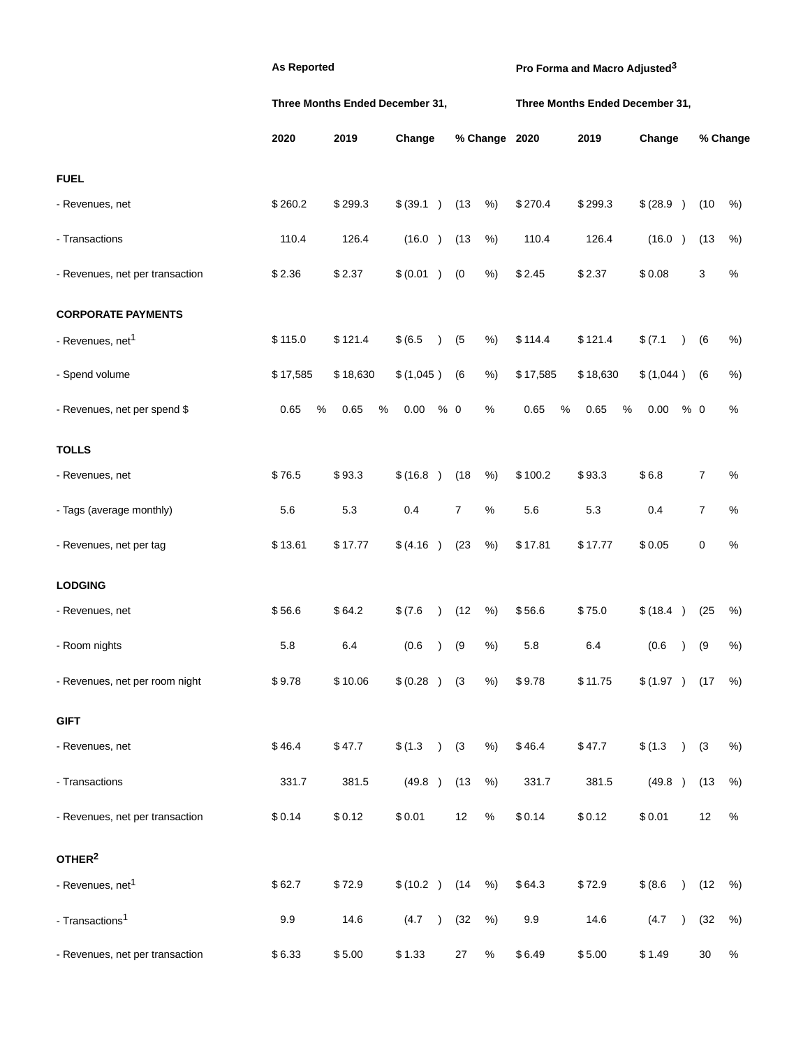|                                 | <b>As Reported</b> |                                 |                           | Pro Forma and Macro Adjusted <sup>3</sup> |                                 |           |                       |                        |  |  |  |  |  |
|---------------------------------|--------------------|---------------------------------|---------------------------|-------------------------------------------|---------------------------------|-----------|-----------------------|------------------------|--|--|--|--|--|
|                                 |                    | Three Months Ended December 31, |                           |                                           | Three Months Ended December 31, |           |                       |                        |  |  |  |  |  |
|                                 | 2020               | 2019                            | Change                    | % Change 2020                             |                                 | 2019      | Change                | % Change               |  |  |  |  |  |
| <b>FUEL</b>                     |                    |                                 |                           |                                           |                                 |           |                       |                        |  |  |  |  |  |
| - Revenues, net                 | \$260.2            | \$299.3                         | \$ (39.1)                 | (13)<br>$%$ )                             | \$270.4                         | \$299.3   | \$(28.9)              | (10)<br>$%$ )          |  |  |  |  |  |
| - Transactions                  | 110.4              | 126.4                           | (16.0)<br>$\lambda$       | (13)<br>$%$ )                             | 110.4                           | 126.4     | (16.0)<br>$\lambda$   | (13)<br>$%$ )          |  |  |  |  |  |
| - Revenues, net per transaction | \$2.36             | \$2.37                          | \$(0.01)                  | $%$ )<br>(0)                              | \$2.45                          | \$2.37    | \$0.08                | 3<br>%                 |  |  |  |  |  |
| <b>CORPORATE PAYMENTS</b>       |                    |                                 |                           |                                           |                                 |           |                       |                        |  |  |  |  |  |
| - Revenues, net <sup>1</sup>    | \$115.0            | \$121.4                         | \$ (6.5)<br>$\lambda$     | (5)<br>$%$ )                              | \$114.4                         | \$121.4   | \$(7.1)<br>$\lambda$  | (6)<br>%)              |  |  |  |  |  |
| - Spend volume                  | \$17,585           | \$18,630                        | \$(1,045)                 | (6)<br>%)                                 | \$17,585                        | \$18,630  | \$(1,044)             | $%$ )<br>(6            |  |  |  |  |  |
| - Revenues, net per spend \$    | 0.65<br>$\%$       | 0.65<br>$\%$                    | 0.00                      | % 0<br>$\%$                               | 0.65<br>%                       | 0.65<br>% | 0.00<br>% 0           | $\%$                   |  |  |  |  |  |
| <b>TOLLS</b>                    |                    |                                 |                           |                                           |                                 |           |                       |                        |  |  |  |  |  |
| - Revenues, net                 | \$76.5             | \$93.3                          | \$ (16.8)                 | (18)<br>$%$ )                             | \$100.2                         | \$93.3    | \$6.8                 | $\overline{7}$<br>$\%$ |  |  |  |  |  |
| - Tags (average monthly)        | 5.6                | 5.3                             | 0.4                       | $\overline{7}$<br>%                       | 5.6                             | 5.3       | 0.4                   | $\overline{7}$<br>%    |  |  |  |  |  |
| - Revenues, net per tag         | \$13.61            | \$17.77                         | \$(4.16)                  | (23)<br>$%$ )                             | \$17.81                         | \$17.77   | \$0.05                | 0<br>%                 |  |  |  |  |  |
| <b>LODGING</b>                  |                    |                                 |                           |                                           |                                 |           |                       |                        |  |  |  |  |  |
| - Revenues, net                 | \$56.6             | \$64.2                          | \$ (7.6)<br>$\lambda$     | (12)<br>$%$ )                             | \$56.6                          | \$75.0    | \$(18.4)              | (25)<br>%              |  |  |  |  |  |
| - Room nights                   | 5.8                | 6.4                             | (0.6)<br>$\lambda$        | (9)<br>$%$ )                              | 5.8                             | 6.4       | (0.6)<br>$\lambda$    | (9)<br>%)              |  |  |  |  |  |
| - Revenues, net per room night  | \$9.78             | \$10.06                         | \$(0.28)                  | (3)<br>$%$ )                              | \$9.78                          | \$11.75   | $$(1.97)$ (17)        | $%$ )                  |  |  |  |  |  |
| <b>GIFT</b>                     |                    |                                 |                           |                                           |                                 |           |                       |                        |  |  |  |  |  |
| - Revenues, net                 | \$46.4             | \$47.7                          | \$(1.3)<br>$\lambda$      | (3)<br>$%$ )                              | \$46.4                          | \$47.7    | \$(1.3)<br>$\lambda$  | (3)<br>%               |  |  |  |  |  |
| - Transactions                  | 331.7              | 381.5                           | (49.8)                    | (13)<br>$%$ )                             | 331.7                           | 381.5     | (49.8)                | (13)<br>$%$ )          |  |  |  |  |  |
| - Revenues, net per transaction | \$0.14             | \$0.12                          | \$0.01                    | 12<br>$\%$                                | \$0.14                          | \$0.12    | \$0.01                | 12<br>$\%$             |  |  |  |  |  |
| OTHER <sup>2</sup>              |                    |                                 |                           |                                           |                                 |           |                       |                        |  |  |  |  |  |
| - Revenues, net <sup>1</sup>    | \$62.7             | \$72.9                          | \$(10.2)                  | (14)<br>$%$ )                             | \$64.3                          | \$72.9    | \$ (8.6)<br>$\lambda$ | (12)<br>%              |  |  |  |  |  |
| - Transactions <sup>1</sup>     | 9.9                | 14.6                            | (4.7)<br>$\left( \right)$ | (32)<br>$%$ )                             | 9.9                             | 14.6      | (4.7)<br>$\lambda$    | (32)<br>$%$ )          |  |  |  |  |  |
| - Revenues, net per transaction | \$6.33             | \$5.00                          | \$1.33                    | 27<br>$\%$                                | \$6.49                          | \$5.00    | \$1.49                | 30<br>%                |  |  |  |  |  |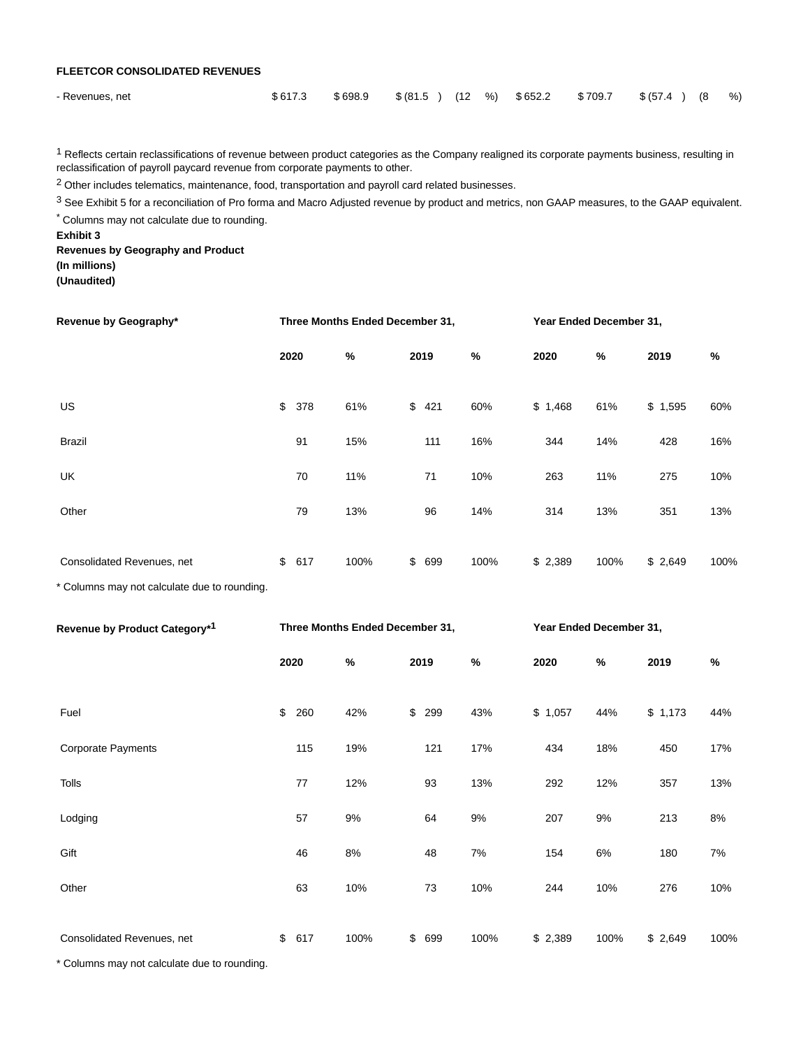| <b>FLEETCOR CONSOLIDATED REVENUES</b> |  |                                                                          |  |  |  |  |
|---------------------------------------|--|--------------------------------------------------------------------------|--|--|--|--|
| - Revenues, net                       |  | $$617.3$ $$698.9$ $$(81.5)$ $(12\%)$ $$652.2$ $$709.7$ $$(57.4)$ $(8\%)$ |  |  |  |  |

 $<sup>1</sup>$  Reflects certain reclassifications of revenue between product categories as the Company realigned its corporate payments business, resulting in</sup> reclassification of payroll paycard revenue from corporate payments to other.

<sup>2</sup> Other includes telematics, maintenance, food, transportation and payroll card related businesses.

<sup>3</sup> See Exhibit 5 for a reconciliation of Pro forma and Macro Adjusted revenue by product and metrics, non GAAP measures, to the GAAP equivalent.

\* Columns may not calculate due to rounding.

**Exhibit 3**

**Revenues by Geography and Product**

- **(In millions)**
- **(Unaudited)**

| Revenue by Geography*      |            | Three Months Ended December 31, |      | Year Ended December 31, |     |      |  |         |      |  |         |      |  |  |  |      |   |  |      |   |
|----------------------------|------------|---------------------------------|------|-------------------------|-----|------|--|---------|------|--|---------|------|--|--|--|------|---|--|------|---|
|                            |            | $\%$<br>2020<br>2019            |      |                         |     | $\%$ |  |         |      |  |         |      |  |  |  | 2020 | % |  | 2019 | % |
| US.                        | $^{\circ}$ | 378                             | 61%  | \$                      | 421 | 60%  |  | \$1,468 | 61%  |  | \$1,595 | 60%  |  |  |  |      |   |  |      |   |
| <b>Brazil</b>              |            | 91                              | 15%  |                         | 111 | 16%  |  | 344     | 14%  |  | 428     | 16%  |  |  |  |      |   |  |      |   |
| UK                         |            | 70                              | 11%  |                         | 71  | 10%  |  | 263     | 11%  |  | 275     | 10%  |  |  |  |      |   |  |      |   |
| Other                      |            | 79                              | 13%  |                         | 96  | 14%  |  | 314     | 13%  |  | 351     | 13%  |  |  |  |      |   |  |      |   |
| Consolidated Revenues, net | \$         | 617                             | 100% | \$                      | 699 | 100% |  | \$2,389 | 100% |  | \$2,649 | 100% |  |  |  |      |   |  |      |   |

\* Columns may not calculate due to rounding.

| Revenue by Product Category*1 | Three Months Ended December 31, |      |      |    |      |      | Year Ended December 31, |         |      |  |         |      |  |  |  |
|-------------------------------|---------------------------------|------|------|----|------|------|-------------------------|---------|------|--|---------|------|--|--|--|
|                               |                                 | 2020 | $\%$ |    | 2019 | $\%$ |                         | 2020    | $\%$ |  | 2019    | $\%$ |  |  |  |
| Fuel                          | \$                              | 260  | 42%  | \$ | 299  | 43%  |                         | \$1,057 | 44%  |  | \$1,173 | 44%  |  |  |  |
| <b>Corporate Payments</b>     |                                 | 115  | 19%  |    | 121  | 17%  |                         | 434     | 18%  |  | 450     | 17%  |  |  |  |
| Tolls                         |                                 | 77   | 12%  |    | 93   | 13%  |                         | 292     | 12%  |  | 357     | 13%  |  |  |  |
| Lodging                       |                                 | 57   | 9%   |    | 64   | 9%   |                         | 207     | 9%   |  | 213     | 8%   |  |  |  |
| Gift                          |                                 | 46   | 8%   |    | 48   | 7%   |                         | 154     | 6%   |  | 180     | 7%   |  |  |  |
| Other                         |                                 | 63   | 10%  |    | 73   | 10%  |                         | 244     | 10%  |  | 276     | 10%  |  |  |  |
| Consolidated Revenues, net    | \$                              | 617  | 100% | \$ | 699  | 100% |                         | \$2,389 | 100% |  | \$2,649 | 100% |  |  |  |

\* Columns may not calculate due to rounding.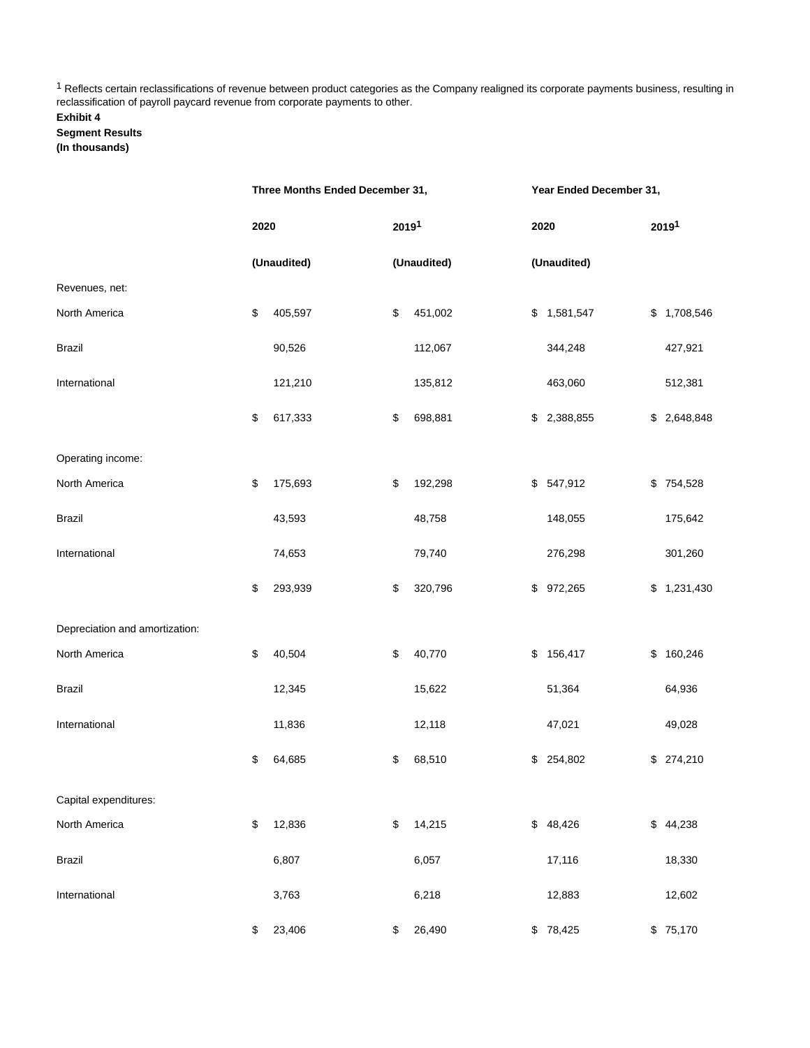<sup>1</sup> Reflects certain reclassifications of revenue between product categories as the Company realigned its corporate payments business, resulting in reclassification of payroll paycard revenue from corporate payments to other.

# **Exhibit 4**

# **Segment Results**

**(In thousands)**

|                                |      | Three Months Ended December 31, |       |             | Year Ended December 31, | 20191 |             |  |  |
|--------------------------------|------|---------------------------------|-------|-------------|-------------------------|-------|-------------|--|--|
|                                | 2020 |                                 | 20191 |             | 2020                    |       |             |  |  |
|                                |      | (Unaudited)                     |       | (Unaudited) | (Unaudited)             |       |             |  |  |
| Revenues, net:                 |      |                                 |       |             |                         |       |             |  |  |
| North America                  | \$   | 405,597                         | \$    | 451,002     | \$1,581,547             |       | \$1,708,546 |  |  |
| <b>Brazil</b>                  |      | 90,526                          |       | 112,067     | 344,248                 |       | 427,921     |  |  |
| International                  |      | 121,210                         |       | 135,812     | 463,060                 |       | 512,381     |  |  |
|                                | \$   | 617,333                         | \$    | 698,881     | \$<br>2,388,855         |       | \$2,648,848 |  |  |
| Operating income:              |      |                                 |       |             |                         |       |             |  |  |
| North America                  | \$   | 175,693                         | \$    | 192,298     | \$ 547,912              |       | \$754,528   |  |  |
| <b>Brazil</b>                  |      | 43,593                          |       | 48,758      | 148,055                 |       | 175,642     |  |  |
| International                  |      | 74,653                          |       | 79,740      | 276,298                 |       | 301,260     |  |  |
|                                | \$   | 293,939                         | \$    | 320,796     | \$972,265               |       | \$1,231,430 |  |  |
| Depreciation and amortization: |      |                                 |       |             |                         |       |             |  |  |
| North America                  | \$   | 40,504                          | \$    | 40,770      | \$156,417               |       | \$160,246   |  |  |
| Brazil                         |      | 12,345                          |       | 15,622      | 51,364                  |       | 64,936      |  |  |
| International                  |      | 11,836                          |       | 12,118      | 47,021                  |       | 49,028      |  |  |
|                                | \$   | 64,685                          | \$    | 68,510      | \$ 254,802              |       | \$274,210   |  |  |
| Capital expenditures:          |      |                                 |       |             |                         |       |             |  |  |
| North America                  | \$   | 12,836                          | \$    | 14,215      | \$48,426                |       | \$44,238    |  |  |
| <b>Brazil</b>                  |      | 6,807                           |       | 6,057       | 17,116                  |       | 18,330      |  |  |
| International                  |      | 3,763                           |       | 6,218       | 12,883                  |       | 12,602      |  |  |
|                                | \$   | 23,406                          | \$    | 26,490      | \$78,425                |       | \$75,170    |  |  |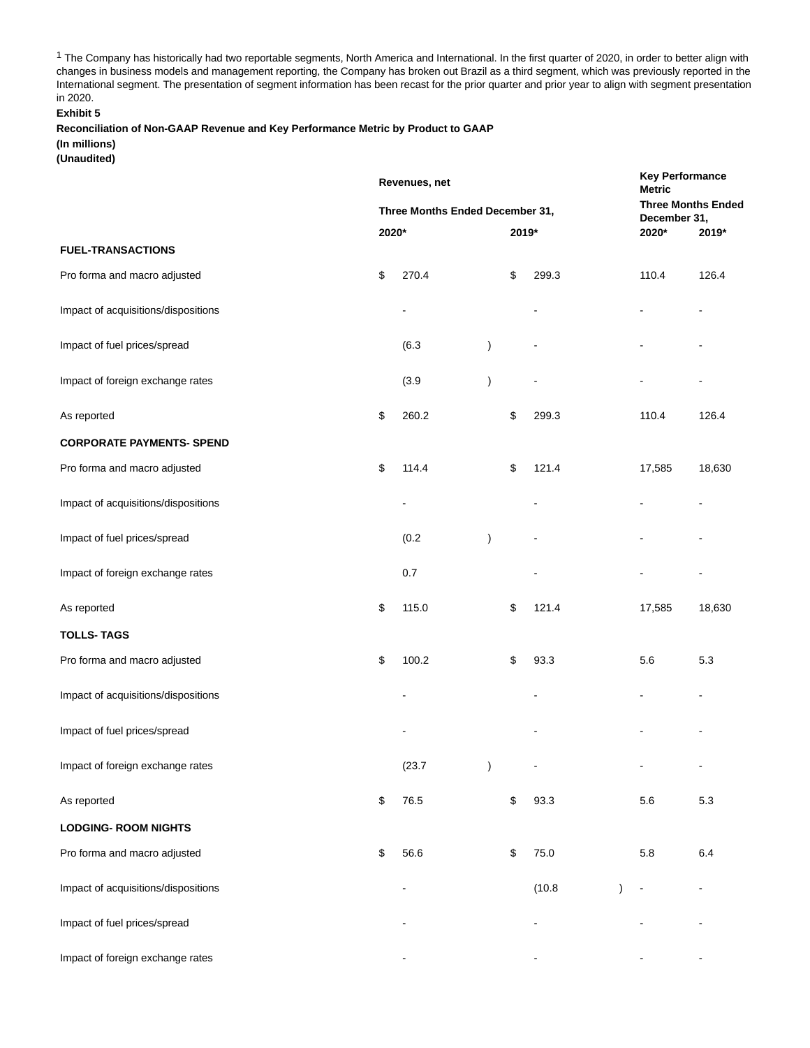<sup>1</sup> The Company has historically had two reportable segments, North America and International. In the first quarter of 2020, in order to better align with changes in business models and management reporting, the Company has broken out Brazil as a third segment, which was previously reported in the International segment. The presentation of segment information has been recast for the prior quarter and prior year to align with segment presentation in 2020.

**Exhibit 5**

# **Reconciliation of Non-GAAP Revenue and Key Performance Metric by Product to GAAP (In millions)**

**(Unaudited)**

**Revenues, net Key Performance Metric Three Months Ended December 31, Three Months Ended December 31, 2020\* 2019\* 2020\* 2019\* FUEL-TRANSACTIONS** Pro forma and macro adjusted **6.4 Contract 126.4** \$ 270.4 \$ 299.3 110.4 126.4 Impact of acquisitions/dispositions Impact of fuel prices/spread (6.3 ) Impact of foreign exchange rates (3.9 ) As reported \$ 260.2 \$ 299.3 110.4 126.4 **CORPORATE PAYMENTS- SPEND** Pro forma and macro adjusted the state of the state of the state of the state of the state of the state of the state of the state of the state of the state of the state of the state of the state of the state of the state o Impact of acquisitions/dispositions - - - - Impact of fuel prices/spread (0.2 ) Impact of foreign exchange rates 0.7 As reported \$ 115.0 \$ 121.4 17,585 18,630 **TOLLS- TAGS** Pro forma and macro adjusted  $$ 100.2$   $$ 93.3$   $5.6$   $5.3$ Impact of acquisitions/dispositions Impact of fuel prices/spread Impact of foreign exchange rates (23.7 ) As reported \$ 76.5 \$ 93.3 5.6 5.3 **LODGING- ROOM NIGHTS** Pro forma and macro adjusted 6.4  $\text{ }$  6.4  $\text{ }$  56.6  $\text{ }$  5.75.0  $\text{ }$  5.8 6.4 Impact of acquisitions/dispositions contract to the contract of acquisitions/dispositions contract to the contract of the contract of acquisitions/dispositions of the contract of the contract of the contract of the contrac Impact of fuel prices/spread - - - - Impact of foreign exchange rates - - - -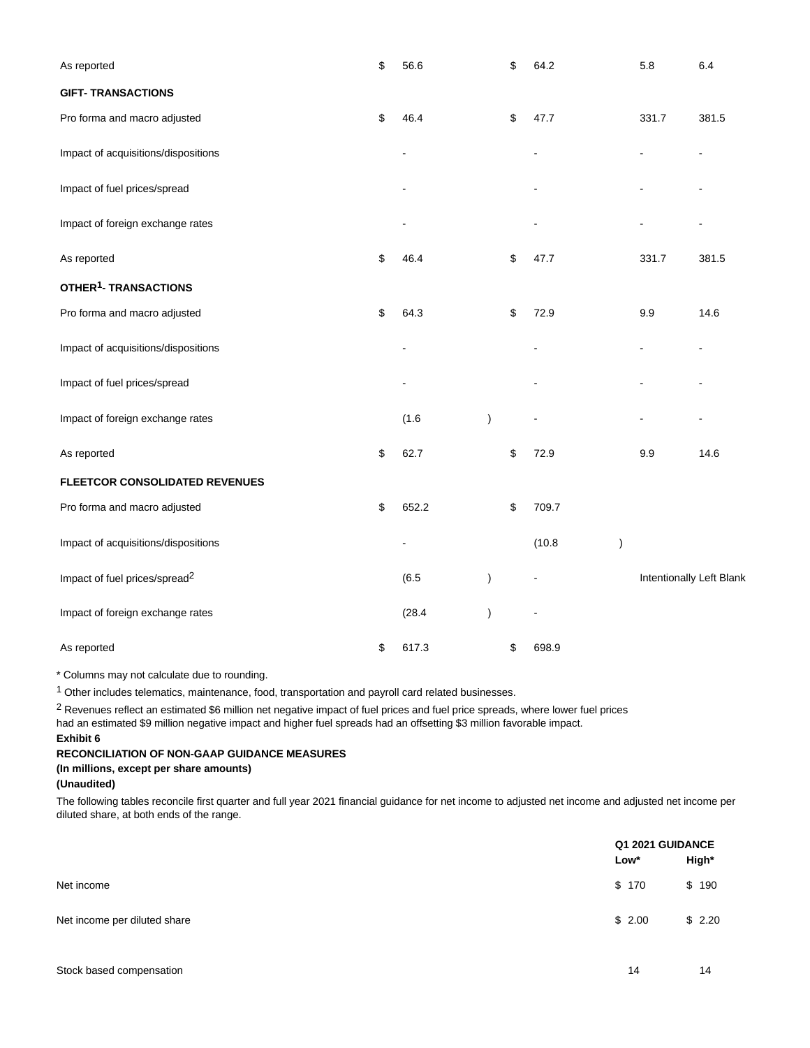| As reported                               | \$<br>56.6  |               | \$<br>64.2  |               | 5.8                      | 6.4            |
|-------------------------------------------|-------------|---------------|-------------|---------------|--------------------------|----------------|
| <b>GIFT- TRANSACTIONS</b>                 |             |               |             |               |                          |                |
| Pro forma and macro adjusted              | \$<br>46.4  |               | \$<br>47.7  |               | 331.7                    | 381.5          |
| Impact of acquisitions/dispositions       |             |               |             |               |                          |                |
| Impact of fuel prices/spread              |             |               |             |               |                          |                |
| Impact of foreign exchange rates          |             |               |             |               |                          |                |
| As reported                               | \$<br>46.4  |               | \$<br>47.7  |               | 331.7                    | 381.5          |
| OTHER <sup>1</sup> - TRANSACTIONS         |             |               |             |               |                          |                |
| Pro forma and macro adjusted              | \$<br>64.3  |               | \$<br>72.9  |               | 9.9                      | 14.6           |
| Impact of acquisitions/dispositions       |             |               |             |               |                          |                |
| Impact of fuel prices/spread              |             |               |             |               | $\blacksquare$           |                |
| Impact of foreign exchange rates          | (1.6)       | $\lambda$     |             |               |                          | $\blacksquare$ |
| As reported                               | \$<br>62.7  |               | \$<br>72.9  |               | 9.9                      | 14.6           |
| <b>FLEETCOR CONSOLIDATED REVENUES</b>     |             |               |             |               |                          |                |
| Pro forma and macro adjusted              | \$<br>652.2 |               | \$<br>709.7 |               |                          |                |
| Impact of acquisitions/dispositions       |             |               | (10.8)      | $\mathcal{E}$ |                          |                |
| Impact of fuel prices/spread <sup>2</sup> | (6.5)       | $\lambda$     |             |               | Intentionally Left Blank |                |
| Impact of foreign exchange rates          | (28.4)      | $\mathcal{E}$ | ÷           |               |                          |                |
| As reported                               | \$<br>617.3 |               | \$<br>698.9 |               |                          |                |

\* Columns may not calculate due to rounding.

1 Other includes telematics, maintenance, food, transportation and payroll card related businesses.

<sup>2</sup> Revenues reflect an estimated \$6 million net negative impact of fuel prices and fuel price spreads, where lower fuel prices had an estimated \$9 million negative impact and higher fuel spreads had an offsetting \$3 million favorable impact.

**Exhibit 6**

# **RECONCILIATION OF NON-GAAP GUIDANCE MEASURES**

#### **(In millions, except per share amounts)**

#### **(Unaudited)**

The following tables reconcile first quarter and full year 2021 financial guidance for net income to adjusted net income and adjusted net income per diluted share, at both ends of the range.

|                              | Q1 2021 GUIDANCE<br>High*<br>Low* |        |  |
|------------------------------|-----------------------------------|--------|--|
| Net income                   | \$170                             | \$190  |  |
| Net income per diluted share | \$2.00                            | \$2.20 |  |